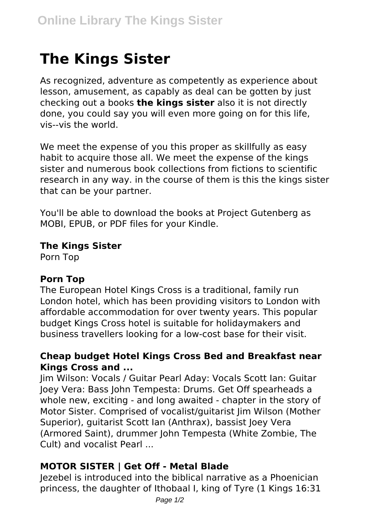# **The Kings Sister**

As recognized, adventure as competently as experience about lesson, amusement, as capably as deal can be gotten by just checking out a books **the kings sister** also it is not directly done, you could say you will even more going on for this life, vis--vis the world.

We meet the expense of you this proper as skillfully as easy habit to acquire those all. We meet the expense of the kings sister and numerous book collections from fictions to scientific research in any way. in the course of them is this the kings sister that can be your partner.

You'll be able to download the books at Project Gutenberg as MOBI, EPUB, or PDF files for your Kindle.

#### **The Kings Sister**

Porn Top

#### **Porn Top**

The European Hotel Kings Cross is a traditional, family run London hotel, which has been providing visitors to London with affordable accommodation for over twenty years. This popular budget Kings Cross hotel is suitable for holidaymakers and business travellers looking for a low-cost base for their visit.

### **Cheap budget Hotel Kings Cross Bed and Breakfast near Kings Cross and ...**

Jim Wilson: Vocals / Guitar Pearl Aday: Vocals Scott Ian: Guitar Joey Vera: Bass John Tempesta: Drums. Get Off spearheads a whole new, exciting - and long awaited - chapter in the story of Motor Sister. Comprised of vocalist/guitarist Jim Wilson (Mother Superior), guitarist Scott Ian (Anthrax), bassist Joey Vera (Armored Saint), drummer John Tempesta (White Zombie, The Cult) and vocalist Pearl ...

## **MOTOR SISTER | Get Off - Metal Blade**

Jezebel is introduced into the biblical narrative as a Phoenician princess, the daughter of Ithobaal I, king of Tyre (1 Kings 16:31